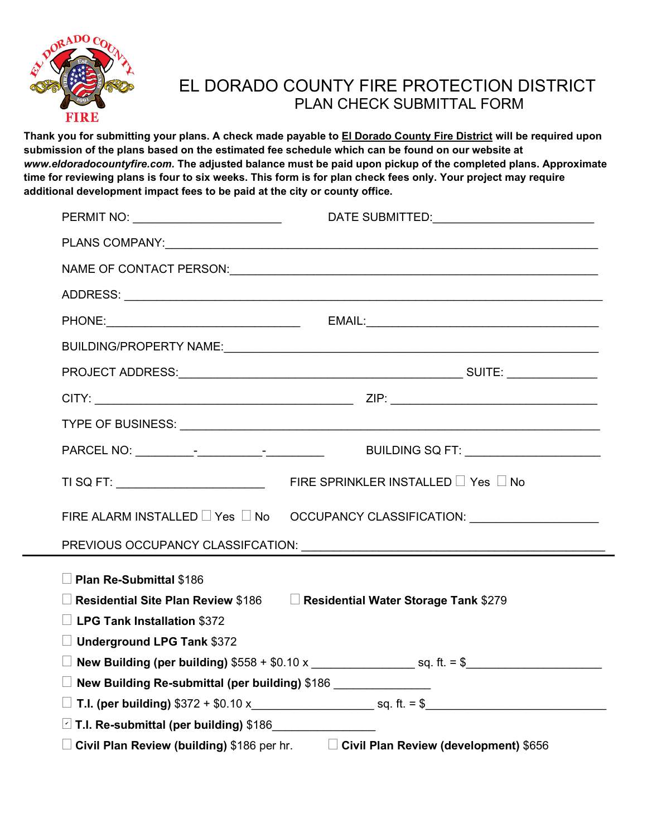

## EL DORADO COUNTY FIRE PROTECTION DISTRICT PLAN CHECK SUBMITTAL FORM

**Thank you for submitting your plans. A check made payable to El Dorado County Fire District will be required upon submission of the plans based on the estimated fee schedule which can be found on our website at**  *[www.eldoradocountyfire.com.](http://www.eldoradocountyfire.com/)* **The adjusted balance must be paid upon pickup of the completed plans. Approximate time for reviewing plans is four to six weeks. This form is for plan check fees only. Your project may require additional development impact fees to be paid at the city or county office.**

| PERMIT NO: __________________________                                    |                                                                                                                                                                                                                                |  |
|--------------------------------------------------------------------------|--------------------------------------------------------------------------------------------------------------------------------------------------------------------------------------------------------------------------------|--|
|                                                                          |                                                                                                                                                                                                                                |  |
|                                                                          |                                                                                                                                                                                                                                |  |
|                                                                          |                                                                                                                                                                                                                                |  |
|                                                                          |                                                                                                                                                                                                                                |  |
|                                                                          | BUILDING/PROPERTY NAME: University of the contract of the contract of the contract of the contract of the contract of the contract of the contract of the contract of the contract of the contract of the contract of the cont |  |
|                                                                          |                                                                                                                                                                                                                                |  |
|                                                                          |                                                                                                                                                                                                                                |  |
|                                                                          |                                                                                                                                                                                                                                |  |
|                                                                          |                                                                                                                                                                                                                                |  |
|                                                                          |                                                                                                                                                                                                                                |  |
| FIRE ALARM INSTALLED □ Yes □ No                                          | OCCUPANCY CLASSIFICATION: University ACCUPANCY CLASSIFICATION:                                                                                                                                                                 |  |
|                                                                          |                                                                                                                                                                                                                                |  |
| $\Box$ Plan Re-Submittal \$186<br>Residential Site Plan Review \$186     |                                                                                                                                                                                                                                |  |
| <b>LPG Tank Installation \$372</b><br>$\Box$                             | Residential Water Storage Tank \$279                                                                                                                                                                                           |  |
| Underground LPG Tank \$372                                               |                                                                                                                                                                                                                                |  |
|                                                                          |                                                                                                                                                                                                                                |  |
| New Building Re-submittal (per building) \$186 _______________<br>$\Box$ |                                                                                                                                                                                                                                |  |
|                                                                          |                                                                                                                                                                                                                                |  |
| 7.I. Re-submittal (per building) \$186_________________                  |                                                                                                                                                                                                                                |  |
|                                                                          | $\square$ Civil Plan Review (building) \$186 per hr. $\square$ Civil Plan Review (development) \$656                                                                                                                           |  |